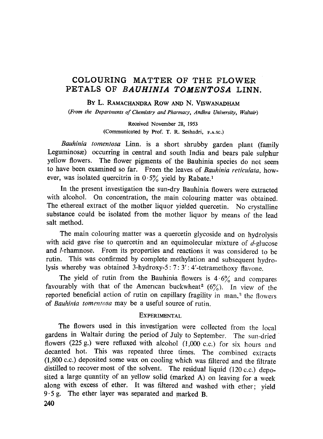# **COLOURING MATTER OF THE FLOWER PETALS OF** *BAUHINIA TOMENTOSA* **LINN.**

**BY** L. RAMACHANDRA *Row* AND N. VISWANADHAM

*(From the Departments of Chemistry and Pharmacy, Andhra University, Waltair)*

**Received November 28, 1953 (Communicated by Prof. T. R. Seshadri, F.A.SC.)**

*Bauhinia tomentosa* Linn. is a short shrubby garden plant (family Leguminosa; occurring in central and south India and bears pale sulphur yellow flowers. The flower pigments of the Bauhinia species do not seem to have been examined so far. From the leaves of *Bauhinia reticulata,* however, was isolated quercitrin in  $0.5\%$  yield by Rabate.<sup>1</sup>

In the present investigation the sun-dry Bauhinia flowers were extracted with alcohol. On concentration, the main colouring matter was obtained. The ethereal extract of the mother liquor yielded quercetin. No crystalline substance could be isolated from the mother liquor by means of the lead salt method.

The main colouring matter was a quercetin glycoside and on hydrolysis with acid gave rise to quercetin and an equimolecular mixture of  $d$ -glucose and 1-rhamnose. From its properties and reactions it was considered to be rutin. This was confirmed by complete methylation and subsequent hydrolysis whereby was obtained 3-hydroxy-5: 7: 3': 4'-tetramethoxy flavone.

The yield of rutin from the Bauhinia flowers is  $4.6\%$  and compares favourably with that of the American buckwheat<sup>2</sup> ( $6\frac{\%}{\%}$ ). In view of the reported beneficial action of rutin on capillary fragility in man,<sup>3</sup> the flowers of *Bauhinia tomentosa* may be a useful source of rutin.

### **EXPERIMENTAL**

The flowers used in this investigation were collected from the local gardens in Waltair during the period of July to September. The sun-dried flowers (225 g.) were refluxed with alcohol (1,000 c.c.) for six hours and decanted hot. This was repeated three times. The combined extracts (1,800 c.c.) deposited some wax on cooling which was filtered and the filtrate distilled to recover most of the solvent. The residual liquid (120 c.c.) deposited a large quantity of an yellow solid (marked A) on leaving for a week along with excess of ether. It was filtered and washed with ether; yield 9.5 g. The ether layer was separated and marked **B.**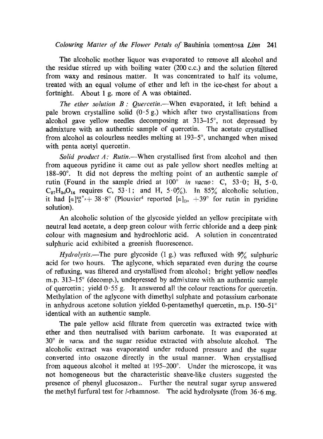## *Colouring Matter of the Flower Petals of* Bauhinia tomentosa *Linn 241*

The alcoholic mother liquor was evaporated to remove all alcohol and the residue stirred up with boiling water (200 c.c.) and the solution filtered from waxy and resinous matter. It was concentrated to half its volume, treated with an equal volume of ether and left in the ice-chest for about a fortnight. About 1 g. more of A was obtained.

*The ether solution B: Quercetin.—When* evaporated, it left behind a pale brown crystalline solid  $(0.5 g)$  which after two crystallisations from alcohol gave yellow needles decomposing at 313-15°, not depressed by admixture with an authentic sample of quercetin. The acetate crystallised from alcohol as colourless needles melting at 193-5°, unchanged when mixed with penta acetyl quercetin.

*Solid product A: Rutin.—When* crystallised first from alcohol and then from aqueous pyridine it came out as pale yellow short needles melting at 188-90°. It did not depress the melting point of an authentic sample of rutin (Found in the sample dried at  $100^\circ$  *in vacuo*: C,  $53.0$ ; H,  $5.0$ .  $C_{27}H_{30}O_{16}$  requires C, 53.1; and H, 5.0%). In 85% alcoholic solution, it had  $[a]_D^{28\degree}$  + 38.8° (Plouvier<sup>4</sup> reported  $[a]_D$ , +39° for rutin in pyridine solution).

An alcoholic solution of the glycoside yielded an yellow precipitate with neutral lead acetate, a deep green colour with ferric chloride and a deep pink colour with magnesium and hydrochloric acid. A solution in concentrated sulphuric acid exhibited a greenish fluorescence.

*Hydrolysis.*—The pure glycoside (1 g.) was refluxed with 9% sulphuric acid for two hours. The aglycone, which separated even during the course of refluxing, was filtered and crystallised from alcohol; bright yellow needles m.p. 313-15° (decomp.), undepressed by admixture with an authentic sample of quercetin; yield  $0.55$  g. It answered all the colour reactions for quercetin. Methylation of the aglycone with dimethyl sulphate and potassium carbonate in anhydrous acetone solution yielded 0-pentamethyl quercetin, m.p. 150-51° identical with an authentic sample.

The pale yellow acid filtrate from quercetin was extracted twice with ether and then neutralised with barium carbonate. It was evaporated at 30° *in vacuc* and the sugar residue extracted with absolute alcohol. The alcoholic extract was evaporated under reduced pressure and the sugar converted into osazone directly in the usual manner. When crystallised from aqueous alcohol it melted at 195-200°. Under the microscope, it was not homogeneous but the characteristic sheave-like clusters suggested the presence of phenyl glucosazon.;. Further the neutral sugar syrup answered the methyl furfural test for *l*-rhamnose. The acid hydrolysate (from  $36.6$  mg.